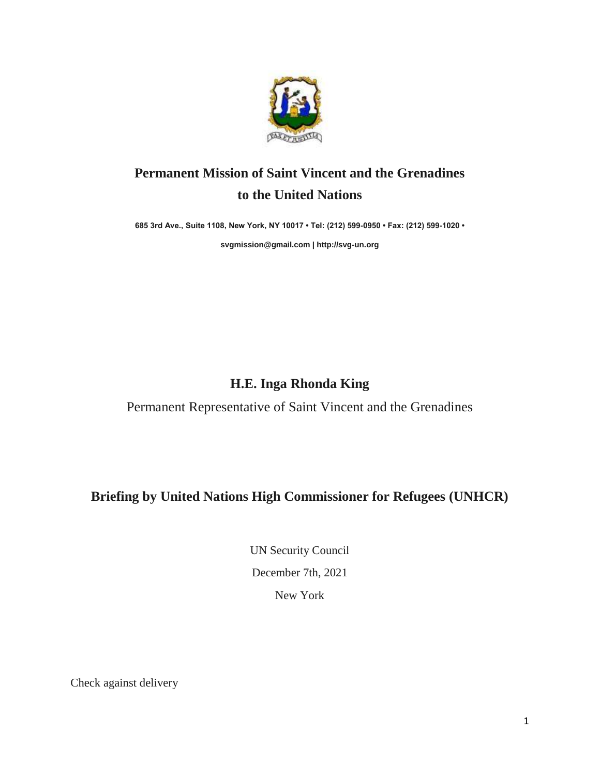

## **Permanent Mission of Saint Vincent and the Grenadines to the United Nations**

**685 3rd Ave., Suite 1108, New York, NY 10017 • Tel: (212) 599-0950 • Fax: (212) 599-1020 •** 

**[svgmission@gmail.com](mailto:svgmission@gmail.com) [| http://svg-un.org](http://svg-un.org/)**

## **H.E. Inga Rhonda King**

Permanent Representative of Saint Vincent and the Grenadines

**Briefing by United Nations High Commissioner for Refugees (UNHCR)**

UN Security Council December 7th, 2021 New York

Check against delivery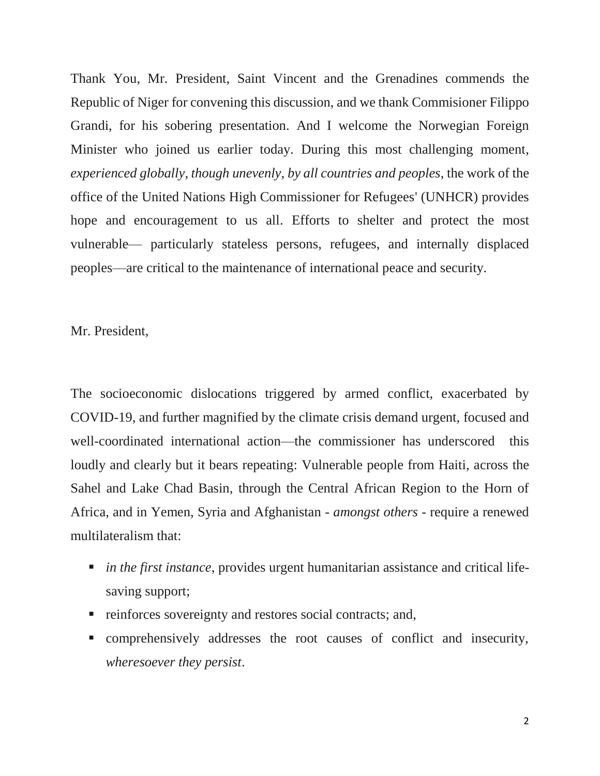Thank You, Mr. President, Saint Vincent and the Grenadines commends the Republic of Niger for convening this discussion, and we thank Commisioner Filippo Grandi, for his sobering presentation. And I welcome the Norwegian Foreign Minister who joined us earlier today. During this most challenging moment, *experienced globally, though unevenly, by all countries and peoples*, the work of the office of the United Nations High Commissioner for Refugees' (UNHCR) provides hope and encouragement to us all. Efforts to shelter and protect the most vulnerable— particularly stateless persons, refugees, and internally displaced peoples—are critical to the maintenance of international peace and security.

Mr. President,

The socioeconomic dislocations triggered by armed conflict, exacerbated by COVID-19, and further magnified by the climate crisis demand urgent, focused and well-coordinated international action—the commissioner has underscored this loudly and clearly but it bears repeating: Vulnerable people from Haiti, across the Sahel and Lake Chad Basin, through the Central African Region to the Horn of Africa, and in Yemen, Syria and Afghanistan - *amongst others* - require a renewed multilateralism that:

- *in the first instance*, provides urgent humanitarian assistance and critical lifesaving support;
- reinforces sovereignty and restores social contracts; and,
- comprehensively addresses the root causes of conflict and insecurity, *wheresoever they persist*.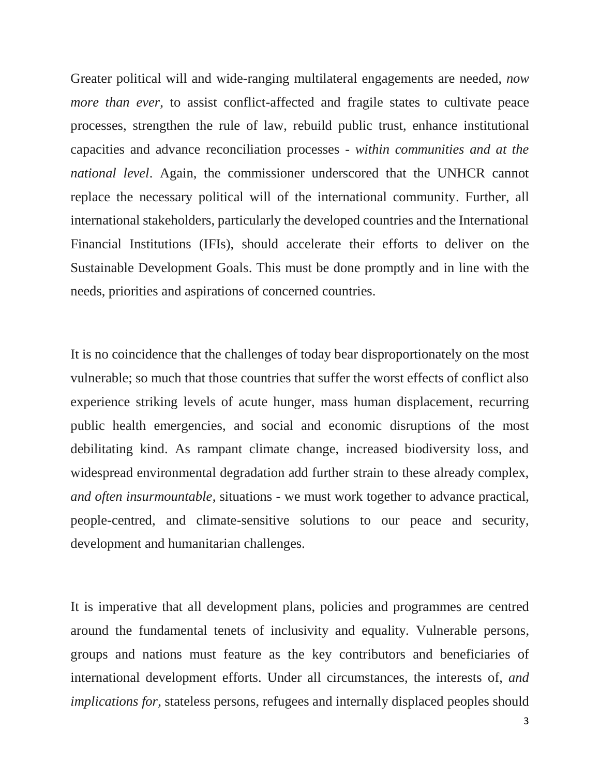Greater political will and wide-ranging multilateral engagements are needed, *now more than ever*, to assist conflict-affected and fragile states to cultivate peace processes, strengthen the rule of law, rebuild public trust, enhance institutional capacities and advance reconciliation processes - *within communities and at the national level*. Again, the commissioner underscored that the UNHCR cannot replace the necessary political will of the international community. Further, all international stakeholders, particularly the developed countries and the International Financial Institutions (IFIs), should accelerate their efforts to deliver on the Sustainable Development Goals. This must be done promptly and in line with the needs, priorities and aspirations of concerned countries.

It is no coincidence that the challenges of today bear disproportionately on the most vulnerable; so much that those countries that suffer the worst effects of conflict also experience striking levels of acute hunger, mass human displacement, recurring public health emergencies, and social and economic disruptions of the most debilitating kind. As rampant climate change, increased biodiversity loss, and widespread environmental degradation add further strain to these already complex, *and often insurmountable*, situations - we must work together to advance practical, people-centred, and climate-sensitive solutions to our peace and security, development and humanitarian challenges.

It is imperative that all development plans, policies and programmes are centred around the fundamental tenets of inclusivity and equality. Vulnerable persons, groups and nations must feature as the key contributors and beneficiaries of international development efforts. Under all circumstances, the interests of, *and implications for*, stateless persons, refugees and internally displaced peoples should